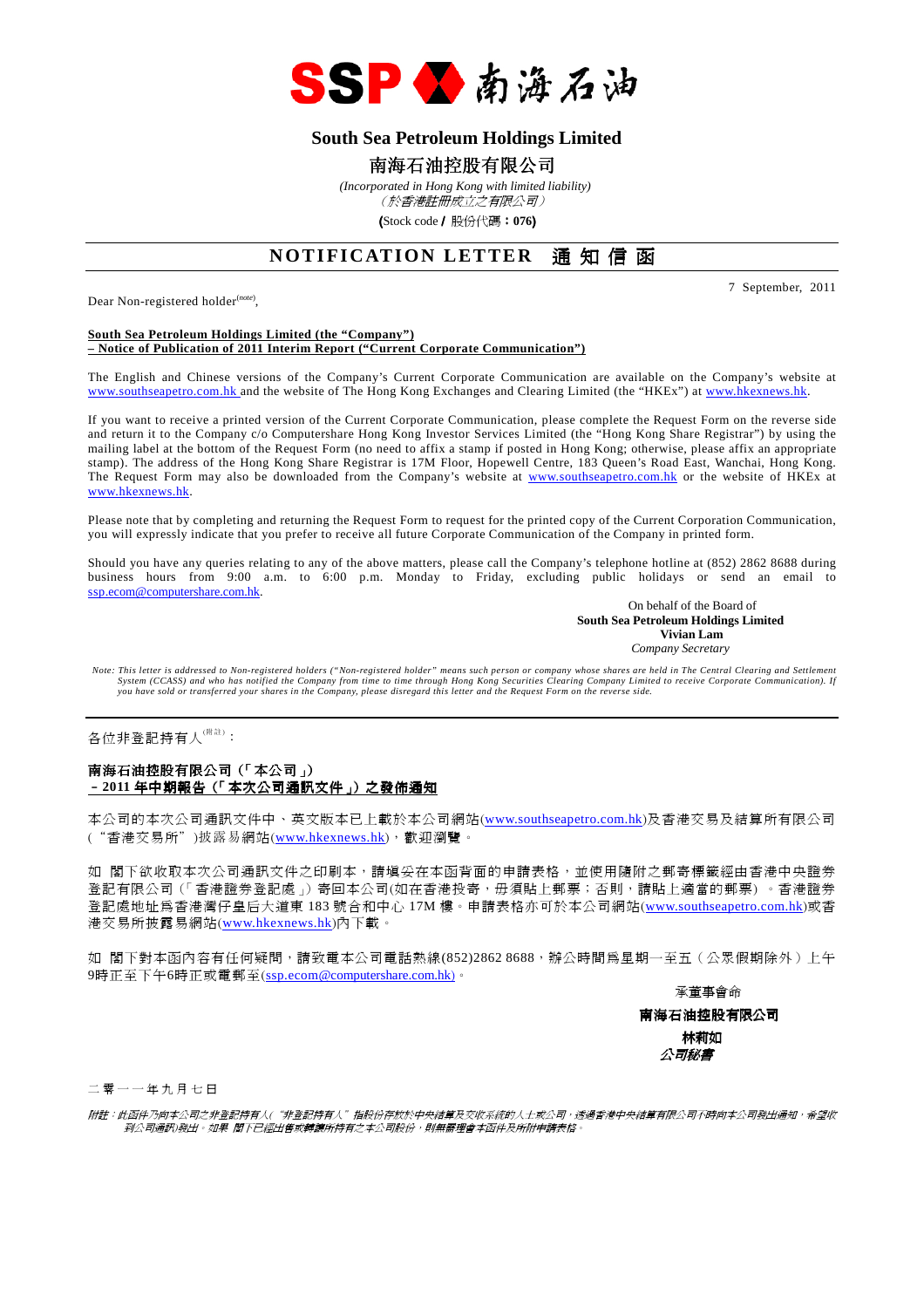

# **South Sea Petroleum Holdings Limited**

# 南海石油控股有限公司

 *(Incorporated in Hong Kong with limited liability)* (於香港註冊成立之有限公司)

(Stock code/ 股份代碼:**076**)

# **NOTIFICATION LETTER** 通知信函

Dear Non-registered holder<sup>(note)</sup>,

7 September, 2011

#### **South Sea Petroleum Holdings Limited (the "Company") – Notice of Publication of 2011 Interim Report ("Current Corporate Communication")**

The English and Chinese versions of the Company's Current Corporate Communication are available on the Company's website at www.southseapetro.com.hk and the website of The Hong Kong Exchanges and Clearing Limited (the "HKEx") at www.hkexnews.hk.

If you want to receive a printed version of the Current Corporate Communication, please complete the Request Form on the reverse side and return it to the Company c/o Computershare Hong Kong Investor Services Limited (the "Hong Kong Share Registrar") by using the mailing label at the bottom of the Request Form (no need to affix a stamp if posted in Hong Kong; otherwise, please affix an appropriate stamp). The address of the Hong Kong Share Registrar is 17M Floor, Hopewell Centre, 183 Queen's Road East, Wanchai, Hong Kong. The Request Form may also be downloaded from the Company's website at www.southseapetro.com.hk or the website of HKEx at www.hkexnews.hk.

Please note that by completing and returning the Request Form to request for the printed copy of the Current Corporation Communication, you will expressly indicate that you prefer to receive all future Corporate Communication of the Company in printed form.

Should you have any queries relating to any of the above matters, please call the Company's telephone hotline at (852) 2862 8688 during business hours from 9:00 a.m. to 6:00 p.m. Monday to Friday, excluding public holidays or send an email to ssp.ecom@computershare.com.hk.

On behalf of the Board of  **South Sea Petroleum Holdings Limited Vivian Lam**  *Company Secretary* 

Note: This letter is addressed to Non-registered holders ("Non-registered holder" means such person or company whose shares are held in The Central Clearing and Settlement<br>System (CCASS) and who has notified the Company fr *you have sold or transferred your shares in the Company, please disregard this letter and the Request Form on the reverse side.* 

各位非登記持有人<sup>(附註)</sup>:

#### 南海石油控股有限公司(「本公司」) –**2011** 年中期報告(「本次公司通訊文件」)之發佈通知

本公司的本次公司通訊文件中、英文版本已上載於本公司網站(www.southseapetro.com.hk)及香港交易及結算所有限公司 ("香港交易所")披露易網站(www.hkexnews.hk),歡迎瀏覽。

如 閣下欲收取本次公司通訊文件之印刷本,請填妥在本函背面的申請表格,並使用隨附之郵寄標籤經由香港中央證券 登記有限公司(「香港證券登記處」)寄回本公司(如在香港投寄,毋須貼上郵票;否則,請貼上適當的郵票) 。香港證券 登記處地址為香港灣仔皇后大道東 183 號合和中心 17M 樓。申請表格亦可於本公司網站(www.southseapetro.com.hk)或香 港交易所披露易網站(www.hkexnews.hk)內下載。

如 閣下對本函內容有任何疑問,請致電本公司電話熱線(852)2862 8688,辦公時間為星期一至五(公眾假期除外)上午 9時正至下午6時正或電郵至(ssp.ecom@computershare.com.hk)。

承董事會命

南海石油控股有限公司 林莉如 公司秘書

二 零 一 一 年 九 月 七 日

附註:此函件乃向本公司之非登記持有人("非登記持有人"指股份存放於中央結算及交收系統的人士或公司,透過香港中央結算有限公司不時向本公司發出通知,希望收 到公司通訊)發出。如果 閣下已經出售或轉讓所持有之本公司股份,則無需理會本函件及所附申請表格。